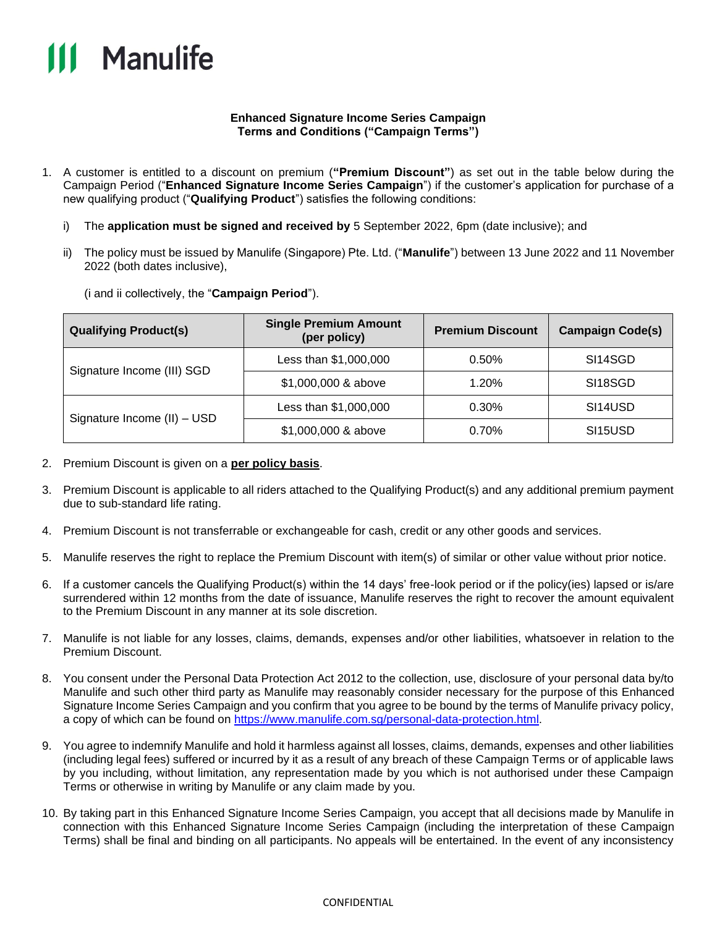

## **Enhanced Signature Income Series Campaign Terms and Conditions ("Campaign Terms")**

- 1. A customer is entitled to a discount on premium (**"Premium Discount"**) as set out in the table below during the Campaign Period ("**Enhanced Signature Income Series Campaign**") if the customer's application for purchase of a new qualifying product ("**Qualifying Product**") satisfies the following conditions:
	- i) The **application must be signed and received by** 5 September 2022, 6pm (date inclusive); and
	- ii) The policy must be issued by Manulife (Singapore) Pte. Ltd. ("**Manulife**") between 13 June 2022 and 11 November 2022 (both dates inclusive),

(i and ii collectively, the "**Campaign Period**").

| <b>Qualifying Product(s)</b> | <b>Single Premium Amount</b><br>(per policy) | <b>Premium Discount</b> | <b>Campaign Code(s)</b> |
|------------------------------|----------------------------------------------|-------------------------|-------------------------|
| Signature Income (III) SGD   | Less than \$1,000,000                        | 0.50%                   | SI14SGD                 |
|                              | \$1,000,000 & above                          | 1.20%                   | SI18SGD                 |
| Signature Income (II) - USD  | Less than \$1,000,000                        | 0.30%                   | SI14USD                 |
|                              | \$1,000,000 & above                          | 0.70%                   | SI15USD                 |

- 2. Premium Discount is given on a **per policy basis**.
- 3. Premium Discount is applicable to all riders attached to the Qualifying Product(s) and any additional premium payment due to sub-standard life rating.
- 4. Premium Discount is not transferrable or exchangeable for cash, credit or any other goods and services.
- 5. Manulife reserves the right to replace the Premium Discount with item(s) of similar or other value without prior notice.
- 6. If a customer cancels the Qualifying Product(s) within the 14 days' free-look period or if the policy(ies) lapsed or is/are surrendered within 12 months from the date of issuance, Manulife reserves the right to recover the amount equivalent to the Premium Discount in any manner at its sole discretion.
- 7. Manulife is not liable for any losses, claims, demands, expenses and/or other liabilities, whatsoever in relation to the Premium Discount.
- 8. You consent under the Personal Data Protection Act 2012 to the collection, use, disclosure of your personal data by/to Manulife and such other third party as Manulife may reasonably consider necessary for the purpose of this Enhanced Signature Income Series Campaign and you confirm that you agree to be bound by the terms of Manulife privacy policy, a copy of which can be found on [https://www.manulife.com.sg/personal-data-protection.html.](https://www.manulife.com.sg/personal-data-protection.html)
- 9. You agree to indemnify Manulife and hold it harmless against all losses, claims, demands, expenses and other liabilities (including legal fees) suffered or incurred by it as a result of any breach of these Campaign Terms or of applicable laws by you including, without limitation, any representation made by you which is not authorised under these Campaign Terms or otherwise in writing by Manulife or any claim made by you.
- 10. By taking part in this Enhanced Signature Income Series Campaign, you accept that all decisions made by Manulife in connection with this Enhanced Signature Income Series Campaign (including the interpretation of these Campaign Terms) shall be final and binding on all participants. No appeals will be entertained. In the event of any inconsistency

## CONFIDENTIAL